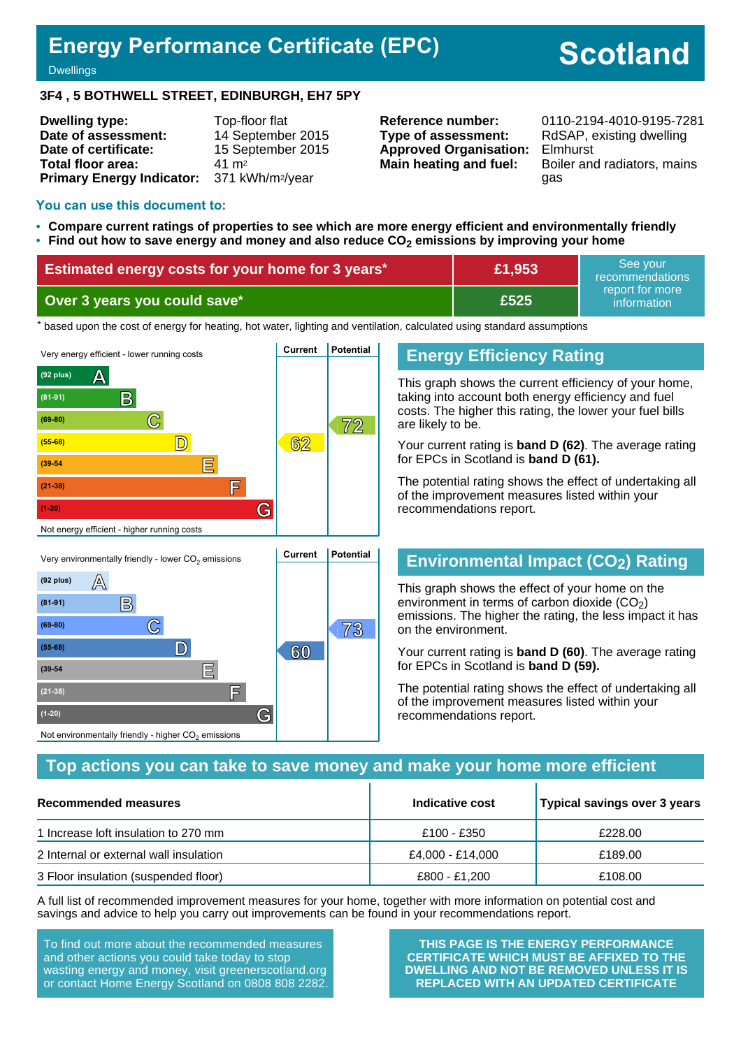# **Energy Performance Certificate (EPC)**

# **Scotland**

**Dwellings** 

#### **3F4 , 5 BOTHWELL STREET, EDINBURGH, EH7 5PY**

| <b>Dwelling type:</b>            | Top-floor flat               |
|----------------------------------|------------------------------|
| Date of assessment:              | 14 September 2015            |
| Date of certificate:             | 15 September 2015            |
| Total floor area:                | 41 m <sup>2</sup>            |
| <b>Primary Energy Indicator:</b> | 371 kWh/m <sup>2</sup> /year |

**Type of assessment:** RdSAP, existing dwelling **Approved Organisation:** Elmhurst

**Reference number:** 0110-2194-4010-9195-7281 **Main heating and fuel:** Boiler and radiators, mains gas

#### **You can use this document to:**

- **Compare current ratings of properties to see which are more energy efficient and environmentally friendly**
- **Find out how to save energy and money and also reduce CO2 emissions by improving your home**

| Estimated energy costs for your home for 3 years* | £1,953 | <sup>l</sup> See vour<br>recommendations |
|---------------------------------------------------|--------|------------------------------------------|
| Over 3 years you could save*                      | £525   | report for more<br>information           |

the based upon the cost of energy for heating, hot water, lighting and ventilation, calculated using standard assumptions



#### **Energy Efficiency Rating**

This graph shows the current efficiency of your home, taking into account both energy efficiency and fuel costs. The higher this rating, the lower your fuel bills are likely to be.

Your current rating is **band D (62)**. The average rating for EPCs in Scotland is **band D (61).**

The potential rating shows the effect of undertaking all of the improvement measures listed within your recommendations report.

# **Environmental Impact (CO2) Rating**

This graph shows the effect of your home on the environment in terms of carbon dioxide  $(CO<sub>2</sub>)$ emissions. The higher the rating, the less impact it has on the environment.

Your current rating is **band D (60)**. The average rating for EPCs in Scotland is **band D (59).**

The potential rating shows the effect of undertaking all of the improvement measures listed within your recommendations report.

#### **Top actions you can take to save money and make your home more efficient**

| Recommended measures                   | Indicative cost  | Typical savings over 3 years |
|----------------------------------------|------------------|------------------------------|
| 1 Increase loft insulation to 270 mm   | £100 - £350      | £228.00                      |
| 2 Internal or external wall insulation | £4,000 - £14,000 | £189.00                      |
| 3 Floor insulation (suspended floor)   | £800 - £1,200    | £108.00                      |

A full list of recommended improvement measures for your home, together with more information on potential cost and savings and advice to help you carry out improvements can be found in your recommendations report.

To find out more about the recommended measures and other actions you could take today to stop wasting energy and money, visit greenerscotland.org or contact Home Energy Scotland on 0808 808 2282.

**(1-20) G**

Not environmentally friendly - higher  $\mathrm{CO}_2$  emissions

**THIS PAGE IS THE ENERGY PERFORMANCE CERTIFICATE WHICH MUST BE AFFIXED TO THE DWELLING AND NOT BE REMOVED UNLESS IT IS REPLACED WITH AN UPDATED CERTIFICATE**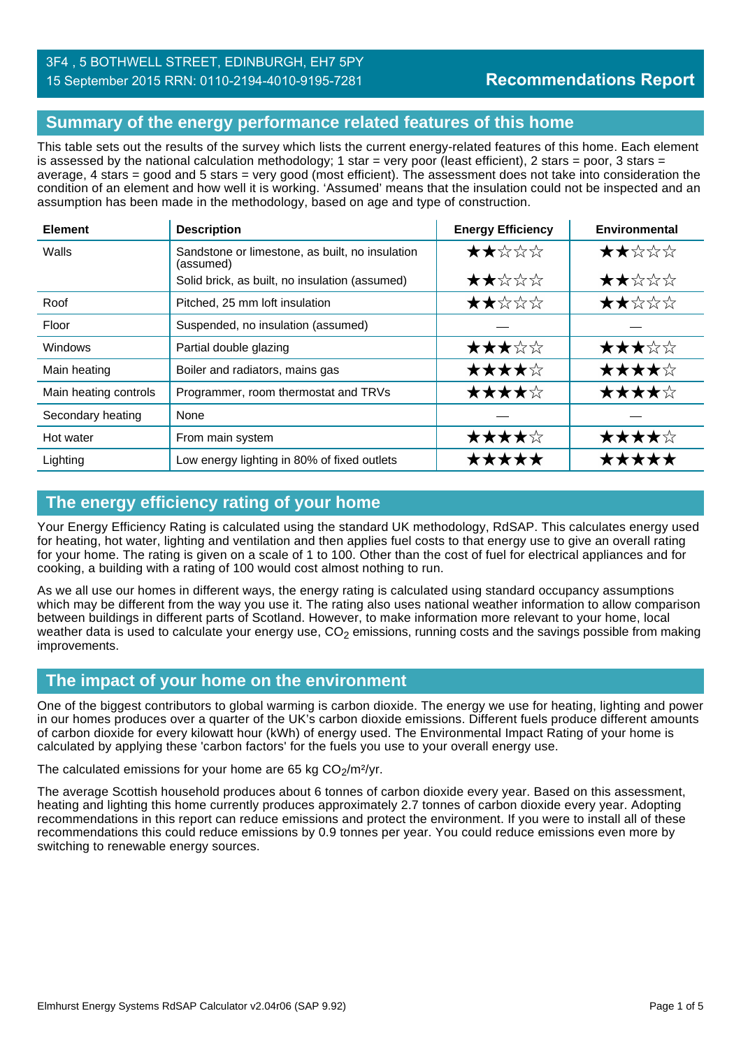### **Summary of the energy performance related features of this home**

This table sets out the results of the survey which lists the current energy-related features of this home. Each element is assessed by the national calculation methodology; 1 star = very poor (least efficient), 2 stars = poor, 3 stars = average, 4 stars = good and 5 stars = very good (most efficient). The assessment does not take into consideration the condition of an element and how well it is working. 'Assumed' means that the insulation could not be inspected and an assumption has been made in the methodology, based on age and type of construction.

| <b>Element</b>        | <b>Description</b>                                           | <b>Energy Efficiency</b> | <b>Environmental</b> |
|-----------------------|--------------------------------------------------------------|--------------------------|----------------------|
| Walls                 | Sandstone or limestone, as built, no insulation<br>(assumed) | ★★☆☆☆                    | ★★☆☆☆                |
|                       | Solid brick, as built, no insulation (assumed)               | ★★☆☆☆                    | ★★☆☆☆                |
| Roof                  | Pitched, 25 mm loft insulation                               | ★★☆☆☆                    | ★★☆☆☆                |
| Floor                 | Suspended, no insulation (assumed)                           |                          |                      |
| Windows               | Partial double glazing                                       | ★★★☆☆                    | ★★★☆☆                |
| Main heating          | Boiler and radiators, mains gas                              | ★★★★☆                    | ★★★★☆                |
| Main heating controls | Programmer, room thermostat and TRVs                         | ★★★★☆                    | ★★★★☆                |
| Secondary heating     | None                                                         |                          |                      |
| Hot water             | From main system                                             | ★★★★☆                    | ★★★★☆                |
| Lighting              | Low energy lighting in 80% of fixed outlets                  | <b>*****</b>             | *****                |

# **The energy efficiency rating of your home**

Your Energy Efficiency Rating is calculated using the standard UK methodology, RdSAP. This calculates energy used for heating, hot water, lighting and ventilation and then applies fuel costs to that energy use to give an overall rating for your home. The rating is given on a scale of 1 to 100. Other than the cost of fuel for electrical appliances and for cooking, a building with a rating of 100 would cost almost nothing to run.

As we all use our homes in different ways, the energy rating is calculated using standard occupancy assumptions which may be different from the way you use it. The rating also uses national weather information to allow comparison between buildings in different parts of Scotland. However, to make information more relevant to your home, local weather data is used to calculate your energy use,  $CO<sub>2</sub>$  emissions, running costs and the savings possible from making improvements.

# **The impact of your home on the environment**

One of the biggest contributors to global warming is carbon dioxide. The energy we use for heating, lighting and power in our homes produces over a quarter of the UK's carbon dioxide emissions. Different fuels produce different amounts of carbon dioxide for every kilowatt hour (kWh) of energy used. The Environmental Impact Rating of your home is calculated by applying these 'carbon factors' for the fuels you use to your overall energy use.

The calculated emissions for your home are 65 kg  $CO<sub>2</sub>/m<sup>2</sup>/yr$ .

The average Scottish household produces about 6 tonnes of carbon dioxide every year. Based on this assessment, heating and lighting this home currently produces approximately 2.7 tonnes of carbon dioxide every year. Adopting recommendations in this report can reduce emissions and protect the environment. If you were to install all of these recommendations this could reduce emissions by 0.9 tonnes per year. You could reduce emissions even more by switching to renewable energy sources.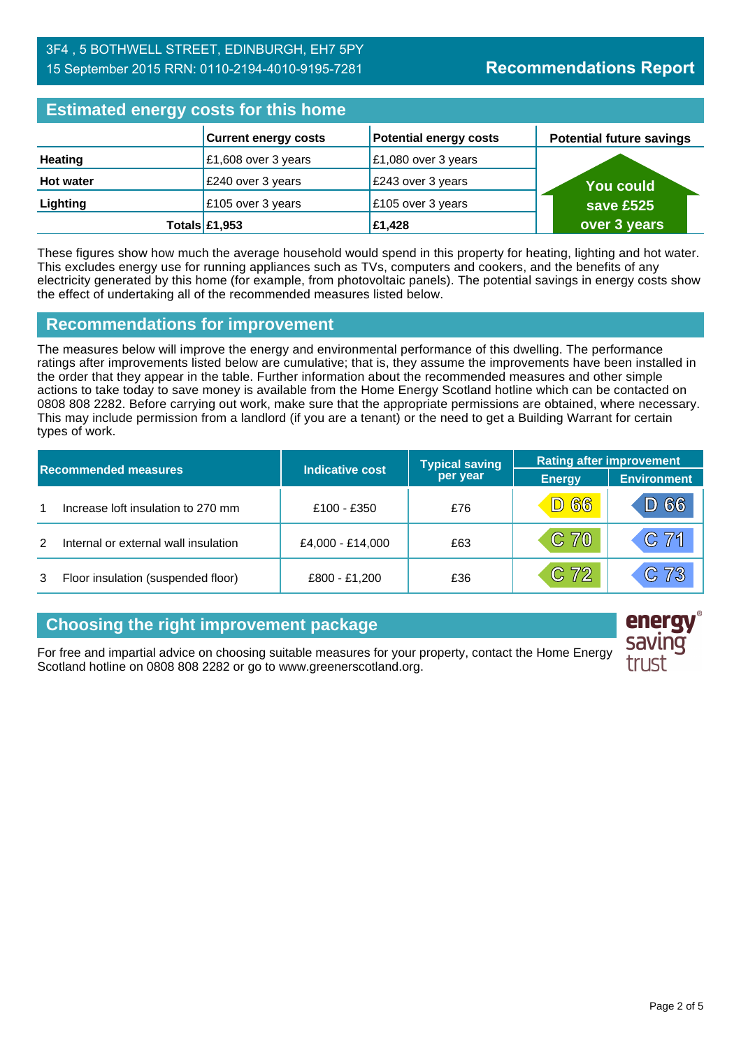#### 3F4 , 5 BOTHWELL STREET, EDINBURGH, EH7 5PY 15 September 2015 RRN: 0110-2194-4010-9195-7281

# **Estimated energy costs for this home**

| <b>EDITION ONE OF A SERVICE OF STRAIGHT</b> |                             |                               |                                 |  |
|---------------------------------------------|-----------------------------|-------------------------------|---------------------------------|--|
|                                             | <b>Current energy costs</b> | <b>Potential energy costs</b> | <b>Potential future savings</b> |  |
| <b>Heating</b>                              | £1,608 over 3 years         | £1,080 over 3 years           |                                 |  |
| <b>Hot water</b>                            | £240 over 3 years           | £243 over 3 years             | <b>You could</b>                |  |
| Lighting                                    | £105 over 3 years           | £105 over 3 years             | save £525                       |  |
|                                             | Totals $£1,953$             | £1,428                        | over 3 years                    |  |

These figures show how much the average household would spend in this property for heating, lighting and hot water. This excludes energy use for running appliances such as TVs, computers and cookers, and the benefits of any electricity generated by this home (for example, from photovoltaic panels). The potential savings in energy costs show the effect of undertaking all of the recommended measures listed below.

#### **Recommendations for improvement**

The measures below will improve the energy and environmental performance of this dwelling. The performance ratings after improvements listed below are cumulative; that is, they assume the improvements have been installed in the order that they appear in the table. Further information about the recommended measures and other simple actions to take today to save money is available from the Home Energy Scotland hotline which can be contacted on 0808 808 2282. Before carrying out work, make sure that the appropriate permissions are obtained, where necessary. This may include permission from a landlord (if you are a tenant) or the need to get a Building Warrant for certain types of work.

| <b>Recommended measures</b> |                                      |                        | <b>Typical saving</b> | <b>Rating after improvement</b> |                    |
|-----------------------------|--------------------------------------|------------------------|-----------------------|---------------------------------|--------------------|
|                             |                                      | <b>Indicative cost</b> | per year              | <b>Energy</b>                   | <b>Environment</b> |
|                             | Increase loft insulation to 270 mm   | £100 - £350            | £76                   | D66                             | D 66               |
| $\mathcal{P}$               | Internal or external wall insulation | £4,000 - £14,000       | £63                   | C70                             | C71                |
| 3                           | Floor insulation (suspended floor)   | £800 - £1,200          | £36                   | $C$ 72                          | C73                |

# **Choosing the right improvement package**

For free and impartial advice on choosing suitable measures for your property, contact the Home Energy Scotland hotline on 0808 808 2282 or go to www.greenerscotland.org.

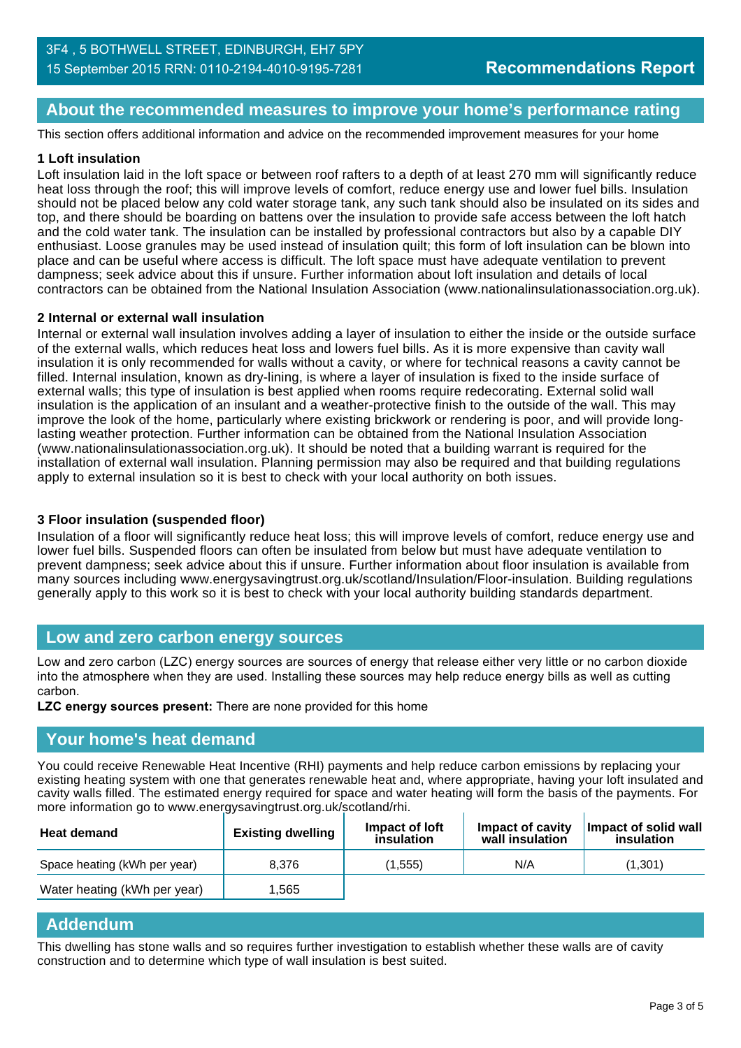#### **About the recommended measures to improve your home's performance rating**

This section offers additional information and advice on the recommended improvement measures for your home

#### **1 Loft insulation**

Loft insulation laid in the loft space or between roof rafters to a depth of at least 270 mm will significantly reduce heat loss through the roof; this will improve levels of comfort, reduce energy use and lower fuel bills. Insulation should not be placed below any cold water storage tank, any such tank should also be insulated on its sides and top, and there should be boarding on battens over the insulation to provide safe access between the loft hatch and the cold water tank. The insulation can be installed by professional contractors but also by a capable DIY enthusiast. Loose granules may be used instead of insulation quilt; this form of loft insulation can be blown into place and can be useful where access is difficult. The loft space must have adequate ventilation to prevent dampness; seek advice about this if unsure. Further information about loft insulation and details of local contractors can be obtained from the National Insulation Association (www.nationalinsulationassociation.org.uk).

#### **2 Internal or external wall insulation**

Internal or external wall insulation involves adding a layer of insulation to either the inside or the outside surface of the external walls, which reduces heat loss and lowers fuel bills. As it is more expensive than cavity wall insulation it is only recommended for walls without a cavity, or where for technical reasons a cavity cannot be filled. Internal insulation, known as dry-lining, is where a layer of insulation is fixed to the inside surface of external walls; this type of insulation is best applied when rooms require redecorating. External solid wall insulation is the application of an insulant and a weather-protective finish to the outside of the wall. This may improve the look of the home, particularly where existing brickwork or rendering is poor, and will provide longlasting weather protection. Further information can be obtained from the National Insulation Association (www.nationalinsulationassociation.org.uk). It should be noted that a building warrant is required for the installation of external wall insulation. Planning permission may also be required and that building regulations apply to external insulation so it is best to check with your local authority on both issues.

#### **3 Floor insulation (suspended floor)**

Insulation of a floor will significantly reduce heat loss; this will improve levels of comfort, reduce energy use and lower fuel bills. Suspended floors can often be insulated from below but must have adequate ventilation to prevent dampness; seek advice about this if unsure. Further information about floor insulation is available from many sources including www.energysavingtrust.org.uk/scotland/Insulation/Floor-insulation. Building regulations generally apply to this work so it is best to check with your local authority building standards department.

#### **Low and zero carbon energy sources**

Low and zero carbon (LZC) energy sources are sources of energy that release either very little or no carbon dioxide into the atmosphere when they are used. Installing these sources may help reduce energy bills as well as cutting carbon.

**LZC energy sources present:** There are none provided for this home

#### **Your home's heat demand**

You could receive Renewable Heat Incentive (RHI) payments and help reduce carbon emissions by replacing your existing heating system with one that generates renewable heat and, where appropriate, having your loft insulated and cavity walls filled. The estimated energy required for space and water heating will form the basis of the payments. For more information go to www.energysavingtrust.org.uk/scotland/rhi.

| <b>Heat demand</b>           | <b>Existing dwelling</b> | Impact of loft<br>insulation | Impact of cavity<br>wall insulation | Impact of solid wall<br>insulation |
|------------------------------|--------------------------|------------------------------|-------------------------------------|------------------------------------|
| Space heating (kWh per year) | 8.376                    | (1.555)                      | N/A                                 | (1.301)                            |
| Water heating (kWh per year) | .565                     |                              |                                     |                                    |

#### **Addendum**

This dwelling has stone walls and so requires further investigation to establish whether these walls are of cavity construction and to determine which type of wall insulation is best suited.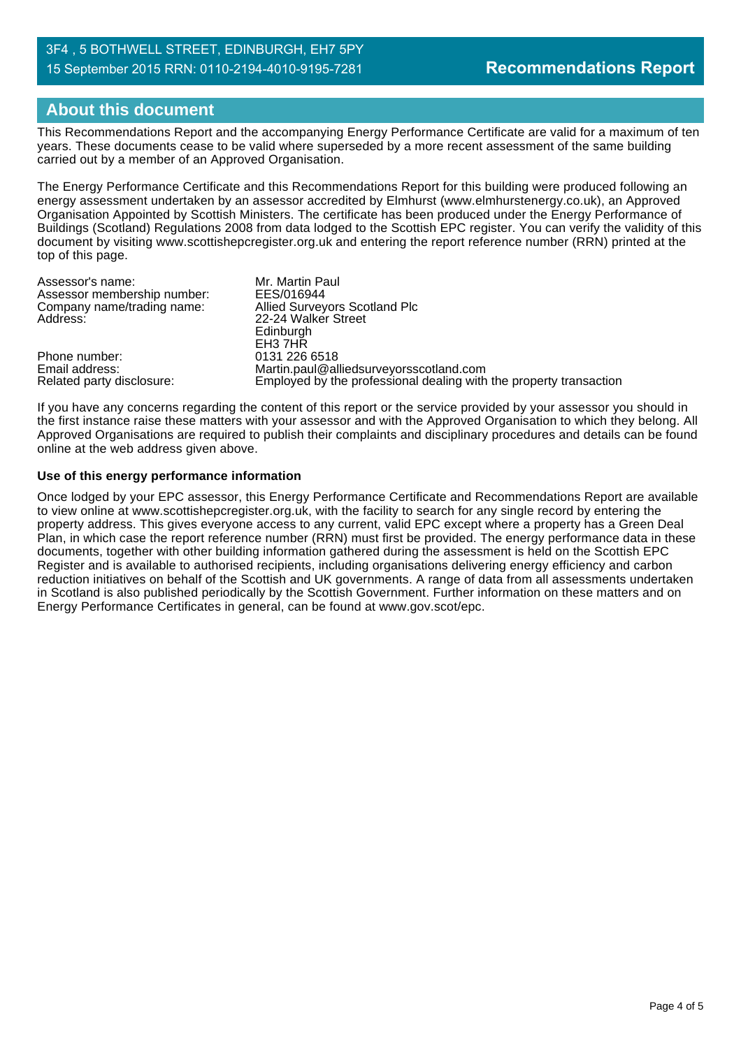#### 3F4 , 5 BOTHWELL STREET, EDINBURGH, EH7 5PY 15 September 2015 RRN: 0110-2194-4010-9195-7281

# **About this document**

This Recommendations Report and the accompanying Energy Performance Certificate are valid for a maximum of ten years. These documents cease to be valid where superseded by a more recent assessment of the same building carried out by a member of an Approved Organisation.

The Energy Performance Certificate and this Recommendations Report for this building were produced following an energy assessment undertaken by an assessor accredited by Elmhurst (www.elmhurstenergy.co.uk), an Approved Organisation Appointed by Scottish Ministers. The certificate has been produced under the Energy Performance of Buildings (Scotland) Regulations 2008 from data lodged to the Scottish EPC register. You can verify the validity of this document by visiting www.scottishepcregister.org.uk and entering the report reference number (RRN) printed at the top of this page.

| Assessor's name:            | Mr. Martin Paul                                                    |
|-----------------------------|--------------------------------------------------------------------|
| Assessor membership number: | EES/016944                                                         |
| Company name/trading name:  | Allied Surveyors Scotland Plc                                      |
| Address:                    | 22-24 Walker Street                                                |
|                             | Edinburgh                                                          |
|                             | EH3 7HR                                                            |
| Phone number:               | 0131 226 6518                                                      |
| Email address:              | Martin.paul@alliedsurveyorsscotland.com                            |
| Related party disclosure:   | Employed by the professional dealing with the property transaction |

If you have any concerns regarding the content of this report or the service provided by your assessor you should in the first instance raise these matters with your assessor and with the Approved Organisation to which they belong. All Approved Organisations are required to publish their complaints and disciplinary procedures and details can be found online at the web address given above.

#### **Use of this energy performance information**

Once lodged by your EPC assessor, this Energy Performance Certificate and Recommendations Report are available to view online at www.scottishepcregister.org.uk, with the facility to search for any single record by entering the property address. This gives everyone access to any current, valid EPC except where a property has a Green Deal Plan, in which case the report reference number (RRN) must first be provided. The energy performance data in these documents, together with other building information gathered during the assessment is held on the Scottish EPC Register and is available to authorised recipients, including organisations delivering energy efficiency and carbon reduction initiatives on behalf of the Scottish and UK governments. A range of data from all assessments undertaken in Scotland is also published periodically by the Scottish Government. Further information on these matters and on Energy Performance Certificates in general, can be found at www.gov.scot/epc.